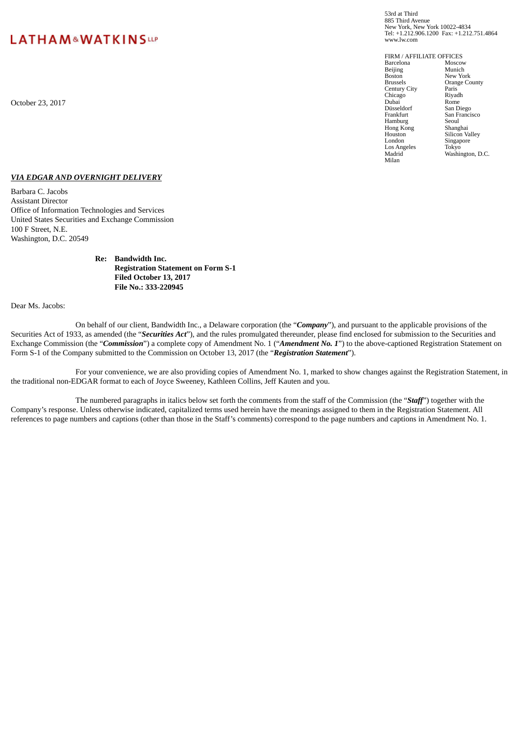# LATHAM&WATKINSLLP

53rd at Third 885 Third Avenue New York, New York 10022-4834 Tel: +1.212.906.1200 Fax: +1.212.751.4864 www.lw.com

FIRM / AFFILIATE OFFICES<br>Barcelona Moscow **Barcelona** Moscow<br> **Beiling** Munich Beijing<br>Boston Boston New York<br>Brussels Orange Co Orange County<br>Paris Century City<br>
Chicago Riyadh Chicago Riyad<br>
Dubai Rome October 23, 2017 Dubai Rome Düsseldorf<br>Frankfurt San Francisco<br>Seoul<br>Shanghai Hamburg Seoul Hong Kong Shanghai Houston Silicon Valley<br>London Singapore Singapore<br>Tokyo Los Angeles<br>Madrid Washington, D.C. Milan

#### *VIA EDGAR AND OVERNIGHT DELIVERY*

Barbara C. Jacobs Assistant Director Office of Information Technologies and Services United States Securities and Exchange Commission 100 F Street, N.E. Washington, D.C. 20549

#### **Re: Bandwidth Inc. Registration Statement on Form S-1 Filed October 13, 2017 File No.: 333-220945**

Dear Ms. Jacobs:

On behalf of our client, Bandwidth Inc., a Delaware corporation (the "*Company*"), and pursuant to the applicable provisions of the Securities Act of 1933, as amended (the "*Securities Act*"), and the rules promulgated thereunder, please find enclosed for submission to the Securities and Exchange Commission (the "*Commission*") a complete copy of Amendment No. 1 ("*Amendment No. 1*") to the above-captioned Registration Statement on Form S-1 of the Company submitted to the Commission on October 13, 2017 (the "*Registration Statement*").

For your convenience, we are also providing copies of Amendment No. 1, marked to show changes against the Registration Statement, in the traditional non-EDGAR format to each of Joyce Sweeney, Kathleen Collins, Jeff Kauten and you.

The numbered paragraphs in italics below set forth the comments from the staff of the Commission (the "*Staff*") together with the Company's response. Unless otherwise indicated, capitalized terms used herein have the meanings assigned to them in the Registration Statement. All references to page numbers and captions (other than those in the Staff's comments) correspond to the page numbers and captions in Amendment No. 1.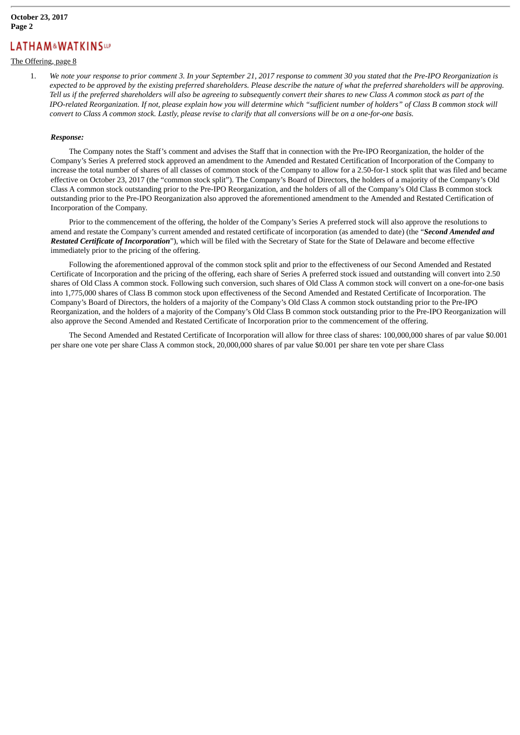### **October 23, 2017 Page 2**

# **LATHAM&WATKINSup**

### The Offering, page 8

1. We note your response to prior comment 3. In your September 21, 2017 response to comment 30 you stated that the Pre-IPO Reorganization is expected to be approved by the existing preferred shareholders. Please describe the nature of what the preferred shareholders will be approving. Tell us if the preferred shareholders will also be agreeing to subsequently convert their shares to new Class A common stock as part of the IPO-related Reorganization. If not, please explain how you will determine which "sufficient number of holders" of Class B common stock will convert to Class A common stock. Lastly, please revise to clarify that all conversions will be on a one-for-one basis.

#### *Response:*

The Company notes the Staff's comment and advises the Staff that in connection with the Pre-IPO Reorganization, the holder of the Company's Series A preferred stock approved an amendment to the Amended and Restated Certification of Incorporation of the Company to increase the total number of shares of all classes of common stock of the Company to allow for a 2.50-for-1 stock split that was filed and became effective on October 23, 2017 (the "common stock split"). The Company's Board of Directors, the holders of a majority of the Company's Old Class A common stock outstanding prior to the Pre-IPO Reorganization, and the holders of all of the Company's Old Class B common stock outstanding prior to the Pre-IPO Reorganization also approved the aforementioned amendment to the Amended and Restated Certification of Incorporation of the Company.

Prior to the commencement of the offering, the holder of the Company's Series A preferred stock will also approve the resolutions to amend and restate the Company's current amended and restated certificate of incorporation (as amended to date) (the "*Second Amended and Restated Certificate of Incorporation*"), which will be filed with the Secretary of State for the State of Delaware and become effective immediately prior to the pricing of the offering.

Following the aforementioned approval of the common stock split and prior to the effectiveness of our Second Amended and Restated Certificate of Incorporation and the pricing of the offering, each share of Series A preferred stock issued and outstanding will convert into 2.50 shares of Old Class A common stock. Following such conversion, such shares of Old Class A common stock will convert on a one-for-one basis into 1,775,000 shares of Class B common stock upon effectiveness of the Second Amended and Restated Certificate of Incorporation. The Company's Board of Directors, the holders of a majority of the Company's Old Class A common stock outstanding prior to the Pre-IPO Reorganization, and the holders of a majority of the Company's Old Class B common stock outstanding prior to the Pre-IPO Reorganization will also approve the Second Amended and Restated Certificate of Incorporation prior to the commencement of the offering.

The Second Amended and Restated Certificate of Incorporation will allow for three class of shares: 100,000,000 shares of par value \$0.001 per share one vote per share Class A common stock, 20,000,000 shares of par value \$0.001 per share ten vote per share Class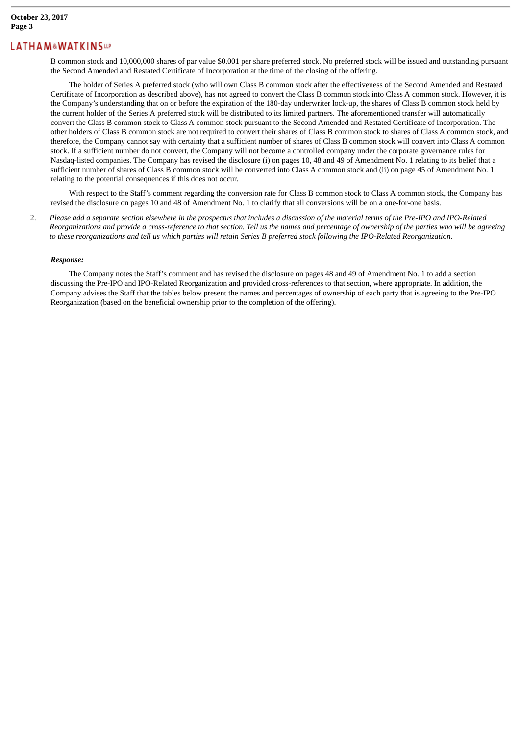B common stock and 10,000,000 shares of par value \$0.001 per share preferred stock. No preferred stock will be issued and outstanding pursuant the Second Amended and Restated Certificate of Incorporation at the time of the closing of the offering.

The holder of Series A preferred stock (who will own Class B common stock after the effectiveness of the Second Amended and Restated Certificate of Incorporation as described above), has not agreed to convert the Class B common stock into Class A common stock. However, it is the Company's understanding that on or before the expiration of the 180-day underwriter lock-up, the shares of Class B common stock held by the current holder of the Series A preferred stock will be distributed to its limited partners. The aforementioned transfer will automatically convert the Class B common stock to Class A common stock pursuant to the Second Amended and Restated Certificate of Incorporation. The other holders of Class B common stock are not required to convert their shares of Class B common stock to shares of Class A common stock, and therefore, the Company cannot say with certainty that a sufficient number of shares of Class B common stock will convert into Class A common stock. If a sufficient number do not convert, the Company will not become a controlled company under the corporate governance rules for Nasdaq-listed companies. The Company has revised the disclosure (i) on pages 10, 48 and 49 of Amendment No. 1 relating to its belief that a sufficient number of shares of Class B common stock will be converted into Class A common stock and (ii) on page 45 of Amendment No. 1 relating to the potential consequences if this does not occur.

With respect to the Staff's comment regarding the conversion rate for Class B common stock to Class A common stock, the Company has revised the disclosure on pages 10 and 48 of Amendment No. 1 to clarify that all conversions will be on a one-for-one basis.

2. Please add a separate section elsewhere in the prospectus that includes a discussion of the material terms of the Pre-IPO and IPO-Related Reorganizations and provide a cross-reference to that section. Tell us the names and percentage of ownership of the parties who will be agreeing to these reorganizations and tell us which parties will retain Series B preferred stock following the IPO-Related Reorganization.

#### *Response:*

The Company notes the Staff's comment and has revised the disclosure on pages 48 and 49 of Amendment No. 1 to add a section discussing the Pre-IPO and IPO-Related Reorganization and provided cross-references to that section, where appropriate. In addition, the Company advises the Staff that the tables below present the names and percentages of ownership of each party that is agreeing to the Pre-IPO Reorganization (based on the beneficial ownership prior to the completion of the offering).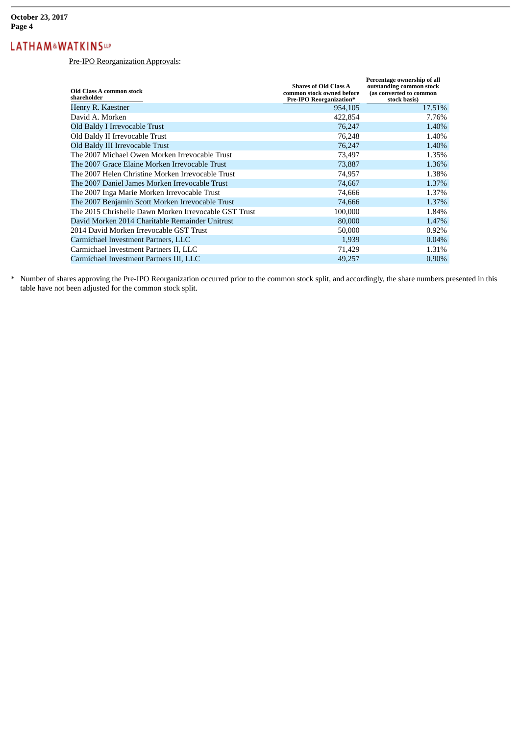Pre-IPO Reorganization Approvals:

| Old Class A common stock<br>shareholder               | <b>Shares of Old Class A</b><br>common stock owned before<br><b>Pre-IPO Reorganization*</b> | Percentage ownership of all<br>outstanding common stock<br>(as converted to common<br>stock basis) |
|-------------------------------------------------------|---------------------------------------------------------------------------------------------|----------------------------------------------------------------------------------------------------|
| Henry R. Kaestner                                     | 954,105                                                                                     | 17.51%                                                                                             |
| David A. Morken                                       | 422,854                                                                                     | 7.76%                                                                                              |
| Old Baldy I Irrevocable Trust                         | 76,247                                                                                      | 1.40%                                                                                              |
| Old Baldy II Irrevocable Trust                        | 76,248                                                                                      | 1.40%                                                                                              |
| Old Baldy III Irrevocable Trust                       | 76,247                                                                                      | 1.40%                                                                                              |
| The 2007 Michael Owen Morken Irrevocable Trust        | 73,497                                                                                      | 1.35%                                                                                              |
| The 2007 Grace Elaine Morken Irrevocable Trust        | 73,887                                                                                      | 1.36%                                                                                              |
| The 2007 Helen Christine Morken Irrevocable Trust     | 74,957                                                                                      | 1.38%                                                                                              |
| The 2007 Daniel James Morken Irrevocable Trust        | 74,667                                                                                      | 1.37%                                                                                              |
| The 2007 Inga Marie Morken Irrevocable Trust          | 74,666                                                                                      | 1.37%                                                                                              |
| The 2007 Benjamin Scott Morken Irrevocable Trust      | 74,666                                                                                      | 1.37%                                                                                              |
| The 2015 Chrishelle Dawn Morken Irrevocable GST Trust | 100,000                                                                                     | 1.84%                                                                                              |
| David Morken 2014 Charitable Remainder Unitrust       | 80,000                                                                                      | 1.47%                                                                                              |
| 2014 David Morken Irrevocable GST Trust               | 50,000                                                                                      | 0.92%                                                                                              |
| Carmichael Investment Partners, LLC                   | 1,939                                                                                       | 0.04%                                                                                              |
| Carmichael Investment Partners II, LLC                | 71,429                                                                                      | 1.31%                                                                                              |
| Carmichael Investment Partners III, LLC               | 49,257                                                                                      | 0.90%                                                                                              |

\* Number of shares approving the Pre-IPO Reorganization occurred prior to the common stock split, and accordingly, the share numbers presented in this table have not been adjusted for the common stock split.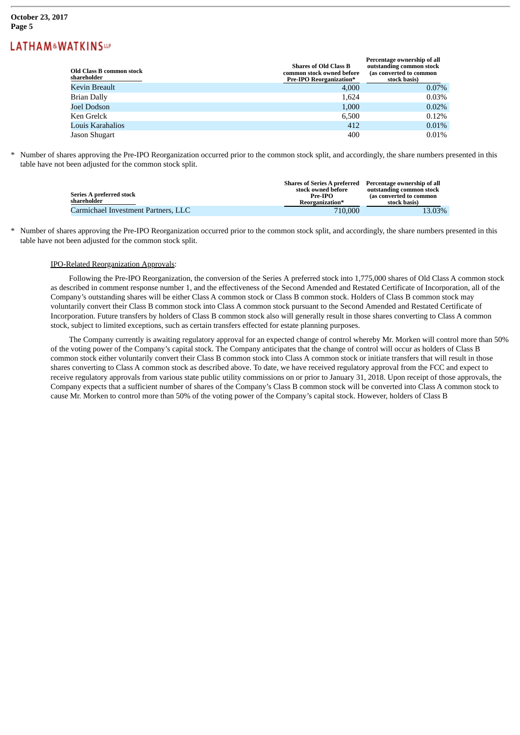#### **October 23, 2017 Page 5**

# **LATHAM&WATKINSup**

| Old Class B common stock<br>shareholder | <b>Shares of Old Class B</b><br>common stock owned before<br><b>Pre-IPO Reorganization*</b> | Percentage ownership of all<br>outstanding common stock<br>(as converted to common<br>stock basis) |
|-----------------------------------------|---------------------------------------------------------------------------------------------|----------------------------------------------------------------------------------------------------|
| Kevin Breault                           | 4,000                                                                                       | $0.07\%$                                                                                           |
| Brian Dally                             | 1,624                                                                                       | 0.03%                                                                                              |
| Joel Dodson                             | 1,000                                                                                       | 0.02%                                                                                              |
| Ken Grelck-                             | 6.500                                                                                       | 0.12%                                                                                              |
| Louis Karahalios                        | 412                                                                                         | $0.01\%$                                                                                           |
| Jason Shugart                           | 400                                                                                         | 0.01%                                                                                              |

Number of shares approving the Pre-IPO Reorganization occurred prior to the common stock split, and accordingly, the share numbers presented in this table have not been adjusted for the common stock split.

| Series A preferred stock<br>shareholder | Shares of Series A preferred Percentage ownership of all<br>stock owned before<br>$Pre-IPO$<br>Reorganization* | outstanding common stock<br>(as converted to common<br>stock basis) |
|-----------------------------------------|----------------------------------------------------------------------------------------------------------------|---------------------------------------------------------------------|
| Carmichael Investment Partners, LLC     | 710,000                                                                                                        | 13.03%                                                              |

Number of shares approving the Pre-IPO Reorganization occurred prior to the common stock split, and accordingly, the share numbers presented in this table have not been adjusted for the common stock split.

#### IPO-Related Reorganization Approvals:

Following the Pre-IPO Reorganization, the conversion of the Series A preferred stock into 1,775,000 shares of Old Class A common stock as described in comment response number 1, and the effectiveness of the Second Amended and Restated Certificate of Incorporation, all of the Company's outstanding shares will be either Class A common stock or Class B common stock. Holders of Class B common stock may voluntarily convert their Class B common stock into Class A common stock pursuant to the Second Amended and Restated Certificate of Incorporation. Future transfers by holders of Class B common stock also will generally result in those shares converting to Class A common stock, subject to limited exceptions, such as certain transfers effected for estate planning purposes.

The Company currently is awaiting regulatory approval for an expected change of control whereby Mr. Morken will control more than 50% of the voting power of the Company's capital stock. The Company anticipates that the change of control will occur as holders of Class B common stock either voluntarily convert their Class B common stock into Class A common stock or initiate transfers that will result in those shares converting to Class A common stock as described above. To date, we have received regulatory approval from the FCC and expect to receive regulatory approvals from various state public utility commissions on or prior to January 31, 2018. Upon receipt of those approvals, the Company expects that a sufficient number of shares of the Company's Class B common stock will be converted into Class A common stock to cause Mr. Morken to control more than 50% of the voting power of the Company's capital stock. However, holders of Class B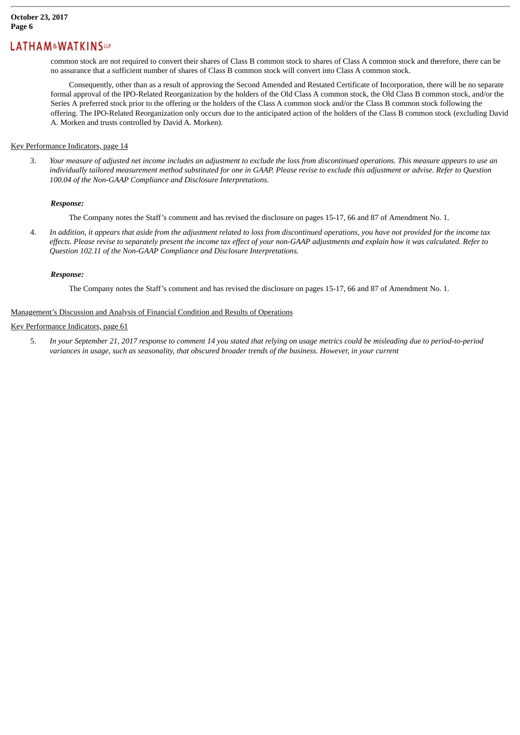common stock are not required to convert their shares of Class B common stock to shares of Class A common stock and therefore, there can be no assurance that a sufficient number of shares of Class B common stock will convert into Class A common stock.

Consequently, other than as a result of approving the Second Amended and Restated Certificate of Incorporation, there will be no separate formal approval of the IPO-Related Reorganization by the holders of the Old Class A common stock, the Old Class B common stock, and/or the Series A preferred stock prior to the offering or the holders of the Class A common stock and/or the Class B common stock following the offering. The IPO-Related Reorganization only occurs due to the anticipated action of the holders of the Class B common stock (excluding David A. Morken and trusts controlled by David A. Morken).

#### Key Performance Indicators, page 14

3. Your measure of adjusted net income includes an adjustment to exclude the loss from discontinued operations. This measure appears to use an individually tailored measurement method substituted for one in GAAP. Please revise to exclude this adjustment or advise. Refer to Question *100.04 of the Non-GAAP Compliance and Disclosure Interpretations.*

#### *Response:*

The Company notes the Staff's comment and has revised the disclosure on pages 15-17, 66 and 87 of Amendment No. 1.

4. In addition, it appears that aside from the adjustment related to loss from discontinued operations, you have not provided for the income tax effects. Please revise to separately present the income tax effect of your non-GAAP adjustments and explain how it was calculated. Refer to *Question 102.11 of the Non-GAAP Compliance and Disclosure Interpretations.*

#### *Response:*

The Company notes the Staff's comment and has revised the disclosure on pages 15-17, 66 and 87 of Amendment No. 1.

#### Management's Discussion and Analysis of Financial Condition and Results of Operations

#### Key Performance Indicators, page 61

5. In your September 21, 2017 response to comment 14 you stated that relying on usage metrics could be misleading due to period-to-period variances in usage, such as seasonality, that obscured broader trends of the business. However, in your current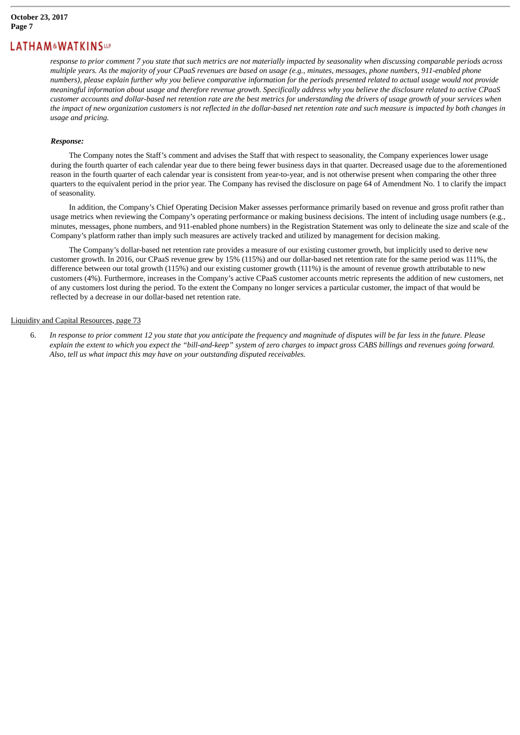response to prior comment 7 you state that such metrics are not materially impacted by seasonality when discussing comparable periods across multiple years. As the majority of your CPaaS revenues are based on usage (e.g., minutes, messages, phone numbers, 911-enabled phone numbers), please explain further why you believe comparative information for the periods presented related to actual usage would not provide meaningful information about usage and therefore revenue growth. Specifically address why you believe the disclosure related to active CPaaS customer accounts and dollar-based net retention rate are the best metrics for understanding the drivers of usage growth of your services when the impact of new organization customers is not reflected in the dollar-based net retention rate and such measure is impacted by both changes in *usage and pricing.*

#### *Response:*

The Company notes the Staff's comment and advises the Staff that with respect to seasonality, the Company experiences lower usage during the fourth quarter of each calendar year due to there being fewer business days in that quarter. Decreased usage due to the aforementioned reason in the fourth quarter of each calendar year is consistent from year-to-year, and is not otherwise present when comparing the other three quarters to the equivalent period in the prior year. The Company has revised the disclosure on page 64 of Amendment No. 1 to clarify the impact of seasonality.

In addition, the Company's Chief Operating Decision Maker assesses performance primarily based on revenue and gross profit rather than usage metrics when reviewing the Company's operating performance or making business decisions. The intent of including usage numbers (e.g., minutes, messages, phone numbers, and 911-enabled phone numbers) in the Registration Statement was only to delineate the size and scale of the Company's platform rather than imply such measures are actively tracked and utilized by management for decision making.

The Company's dollar-based net retention rate provides a measure of our existing customer growth, but implicitly used to derive new customer growth. In 2016, our CPaaS revenue grew by 15% (115%) and our dollar-based net retention rate for the same period was 111%, the difference between our total growth (115%) and our existing customer growth (111%) is the amount of revenue growth attributable to new customers (4%). Furthermore, increases in the Company's active CPaaS customer accounts metric represents the addition of new customers, net of any customers lost during the period. To the extent the Company no longer services a particular customer, the impact of that would be reflected by a decrease in our dollar-based net retention rate.

#### Liquidity and Capital Resources, page 73

6. In response to prior comment 12 you state that you anticipate the frequency and magnitude of disputes will be far less in the future. Please explain the extent to which you expect the "bill-and-keep" system of zero charges to impact gross CABS billings and revenues going forward. *Also, tell us what impact this may have on your outstanding disputed receivables.*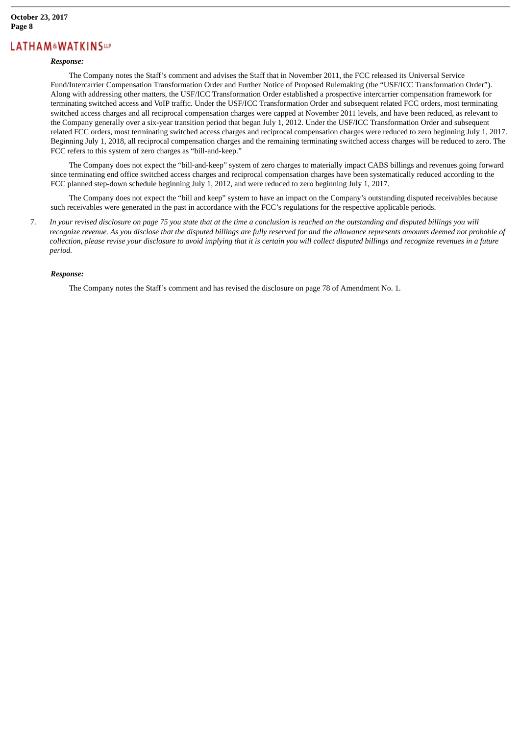#### *Response:*

The Company notes the Staff's comment and advises the Staff that in November 2011, the FCC released its Universal Service Fund/Intercarrier Compensation Transformation Order and Further Notice of Proposed Rulemaking (the "USF/ICC Transformation Order"). Along with addressing other matters, the USF/ICC Transformation Order established a prospective intercarrier compensation framework for terminating switched access and VoIP traffic. Under the USF/ICC Transformation Order and subsequent related FCC orders, most terminating switched access charges and all reciprocal compensation charges were capped at November 2011 levels, and have been reduced, as relevant to the Company generally over a six-year transition period that began July 1, 2012. Under the USF/ICC Transformation Order and subsequent related FCC orders, most terminating switched access charges and reciprocal compensation charges were reduced to zero beginning July 1, 2017. Beginning July 1, 2018, all reciprocal compensation charges and the remaining terminating switched access charges will be reduced to zero. The FCC refers to this system of zero charges as "bill-and-keep."

The Company does not expect the "bill-and-keep" system of zero charges to materially impact CABS billings and revenues going forward since terminating end office switched access charges and reciprocal compensation charges have been systematically reduced according to the FCC planned step-down schedule beginning July 1, 2012, and were reduced to zero beginning July 1, 2017.

The Company does not expect the "bill and keep" system to have an impact on the Company's outstanding disputed receivables because such receivables were generated in the past in accordance with the FCC's regulations for the respective applicable periods.

7. In your revised disclosure on page 75 you state that at the time a conclusion is reached on the outstanding and disputed billings you will recognize revenue. As you disclose that the disputed billings are fully reserved for and the allowance represents amounts deemed not probable of collection, please revise your disclosure to avoid implying that it is certain you will collect disputed billings and recognize revenues in a future *period.*

#### *Response:*

The Company notes the Staff's comment and has revised the disclosure on page 78 of Amendment No. 1.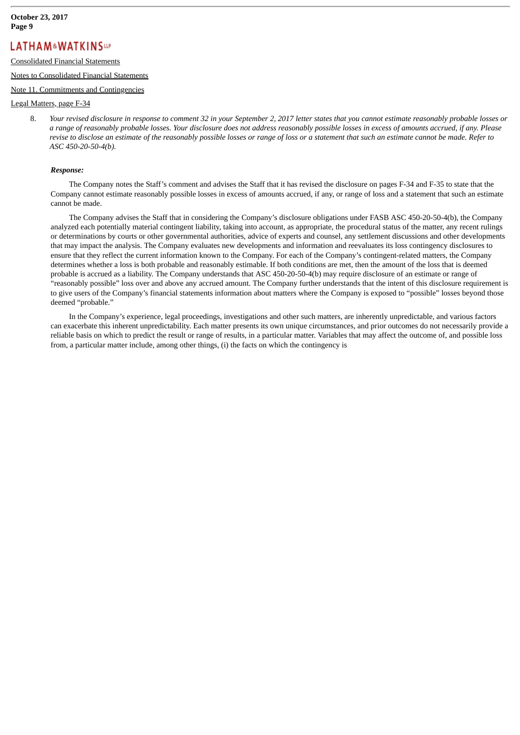### Consolidated Financial Statements

#### Notes to Consolidated Financial Statements

#### Note 11. Commitments and Contingencies

#### Legal Matters, page F-34

8. Your revised disclosure in response to comment 32 in your September 2, 2017 letter states that you cannot estimate reasonably probable losses or a range of reasonably probable losses. Your disclosure does not address reasonably possible losses in excess of amounts accrued, if any. Please revise to disclose an estimate of the reasonably possible losses or range of loss or a statement that such an estimate cannot be made. Refer to *ASC 450-20-50-4(b).*

#### *Response:*

The Company notes the Staff's comment and advises the Staff that it has revised the disclosure on pages F-34 and F-35 to state that the Company cannot estimate reasonably possible losses in excess of amounts accrued, if any, or range of loss and a statement that such an estimate cannot be made.

The Company advises the Staff that in considering the Company's disclosure obligations under FASB ASC 450-20-50-4(b), the Company analyzed each potentially material contingent liability, taking into account, as appropriate, the procedural status of the matter, any recent rulings or determinations by courts or other governmental authorities, advice of experts and counsel, any settlement discussions and other developments that may impact the analysis. The Company evaluates new developments and information and reevaluates its loss contingency disclosures to ensure that they reflect the current information known to the Company. For each of the Company's contingent-related matters, the Company determines whether a loss is both probable and reasonably estimable. If both conditions are met, then the amount of the loss that is deemed probable is accrued as a liability. The Company understands that ASC 450-20-50-4(b) may require disclosure of an estimate or range of "reasonably possible" loss over and above any accrued amount. The Company further understands that the intent of this disclosure requirement is to give users of the Company's financial statements information about matters where the Company is exposed to "possible" losses beyond those deemed "probable."

In the Company's experience, legal proceedings, investigations and other such matters, are inherently unpredictable, and various factors can exacerbate this inherent unpredictability. Each matter presents its own unique circumstances, and prior outcomes do not necessarily provide a reliable basis on which to predict the result or range of results, in a particular matter. Variables that may affect the outcome of, and possible loss from, a particular matter include, among other things, (i) the facts on which the contingency is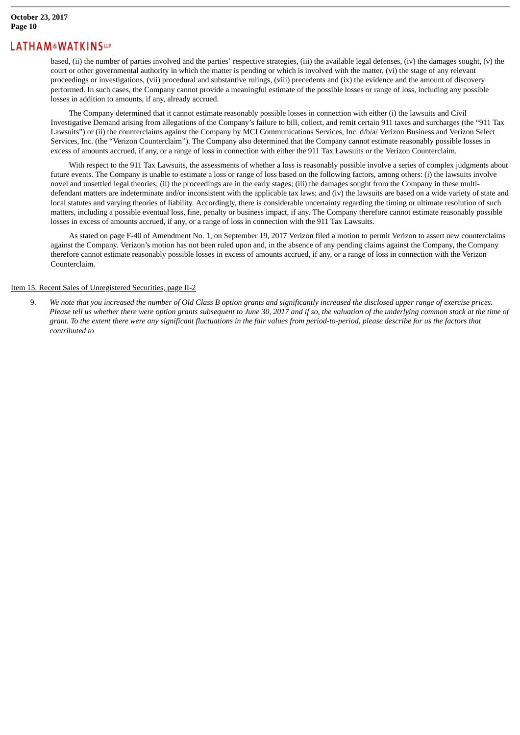based, (ii) the number of parties involved and the parties' respective strategies, (iii) the available legal defenses, (iv) the damages sought, (v) the court or other governmental authority in which the matter is pending or which is involved with the matter, (vi) the stage of any relevant proceedings or investigations, (vii) procedural and substantive rulings, (viii) precedents and (ix) the evidence and the amount of discovery performed. In such cases, the Company cannot provide a meaningful estimate of the possible losses or range of loss, including any possible losses in addition to amounts, if any, already accrued.

The Company determined that it cannot estimate reasonably possible losses in connection with either (i) the lawsuits and Civil Investigative Demand arising from allegations of the Company's failure to bill, collect, and remit certain 911 taxes and surcharges (the "911 Tax Lawsuits") or (ii) the counterclaims against the Company by MCI Communications Services, Inc. d/b/a/ Verizon Business and Verizon Select Services, Inc. (the "Verizon Counterclaim"). The Company also determined that the Company cannot estimate reasonably possible losses in excess of amounts accrued, if any, or a range of loss in connection with either the 911 Tax Lawsuits or the Verizon Counterclaim.

With respect to the 911 Tax Lawsuits, the assessments of whether a loss is reasonably possible involve a series of complex judgments about future events. The Company is unable to estimate a loss or range of loss based on the following factors, among others: (i) the lawsuits involve novel and unsettled legal theories; (ii) the proceedings are in the early stages; (iii) the damages sought from the Company in these multidefendant matters are indeterminate and/or inconsistent with the applicable tax laws; and (iv) the lawsuits are based on a wide variety of state and local statutes and varying theories of liability. Accordingly, there is considerable uncertainty regarding the timing or ultimate resolution of such matters, including a possible eventual loss, fine, penalty or business impact, if any. The Company therefore cannot estimate reasonably possible losses in excess of amounts accrued, if any, or a range of loss in connection with the 911 Tax Lawsuits.

As stated on page F-40 of Amendment No. 1, on September 19, 2017 Verizon filed a motion to permit Verizon to assert new counterclaims against the Company. Verizon's motion has not been ruled upon and, in the absence of any pending claims against the Company, the Company therefore cannot estimate reasonably possible losses in excess of amounts accrued, if any, or a range of loss in connection with the Verizon Counterclaim.

### Item 15. Recent Sales of Unregistered Securities, page II-2

9. We note that you increased the number of Old Class B option grants and significantly increased the disclosed upper range of exercise prices. Please tell us whether there were option arants subsequent to June 30, 2017 and if so, the valuation of the underlying common stock at the time of grant. To the extent there were any significant fluctuations in the fair values from period-to-period. please describe for us the factors that *contributed to*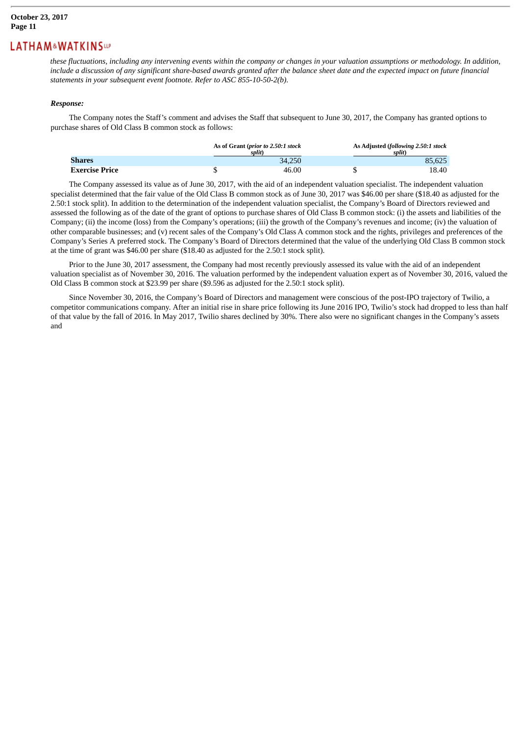these fluctuations, including any intervening events within the company or changes in your valuation assumptions or methodology. In addition, include a discussion of any significant share-based awards granted after the balance sheet date and the expected impact on future financial *statements in your subsequent event footnote. Refer to ASC 855-10-50-2(b).*

#### *Response:*

The Company notes the Staff's comment and advises the Staff that subsequent to June 30, 2017, the Company has granted options to purchase shares of Old Class B common stock as follows:

|                       | As of Grant (prior to 2.50:1 stock<br>split) | As Adjusted (following 2.50:1 stock<br>split) |
|-----------------------|----------------------------------------------|-----------------------------------------------|
| Shares                | 34,250                                       | 85.625                                        |
| <b>Exercise Price</b> | 46.00                                        | 18.40                                         |

The Company assessed its value as of June 30, 2017, with the aid of an independent valuation specialist. The independent valuation specialist determined that the fair value of the Old Class B common stock as of June 30, 2017 was \$46.00 per share (\$18.40 as adjusted for the 2.50:1 stock split). In addition to the determination of the independent valuation specialist, the Company's Board of Directors reviewed and assessed the following as of the date of the grant of options to purchase shares of Old Class B common stock: (i) the assets and liabilities of the Company; (ii) the income (loss) from the Company's operations; (iii) the growth of the Company's revenues and income; (iv) the valuation of other comparable businesses; and (v) recent sales of the Company's Old Class A common stock and the rights, privileges and preferences of the Company's Series A preferred stock. The Company's Board of Directors determined that the value of the underlying Old Class B common stock at the time of grant was \$46.00 per share (\$18.40 as adjusted for the 2.50:1 stock split).

Prior to the June 30, 2017 assessment, the Company had most recently previously assessed its value with the aid of an independent valuation specialist as of November 30, 2016. The valuation performed by the independent valuation expert as of November 30, 2016, valued the Old Class B common stock at \$23.99 per share (\$9.596 as adjusted for the 2.50:1 stock split).

Since November 30, 2016, the Company's Board of Directors and management were conscious of the post-IPO trajectory of Twilio, a competitor communications company. After an initial rise in share price following its June 2016 IPO, Twilio's stock had dropped to less than half of that value by the fall of 2016. In May 2017, Twilio shares declined by 30%. There also were no significant changes in the Company's assets and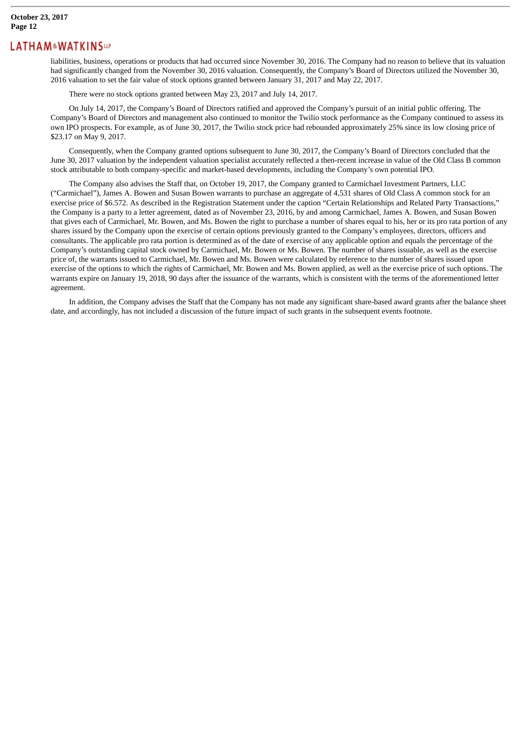liabilities, business, operations or products that had occurred since November 30, 2016. The Company had no reason to believe that its valuation had significantly changed from the November 30, 2016 valuation. Consequently, the Company's Board of Directors utilized the November 30, 2016 valuation to set the fair value of stock options granted between January 31, 2017 and May 22, 2017.

There were no stock options granted between May 23, 2017 and July 14, 2017.

On July 14, 2017, the Company's Board of Directors ratified and approved the Company's pursuit of an initial public offering. The Company's Board of Directors and management also continued to monitor the Twilio stock performance as the Company continued to assess its own IPO prospects. For example, as of June 30, 2017, the Twilio stock price had rebounded approximately 25% since its low closing price of \$23.17 on May 9, 2017.

Consequently, when the Company granted options subsequent to June 30, 2017, the Company's Board of Directors concluded that the June 30, 2017 valuation by the independent valuation specialist accurately reflected a then-recent increase in value of the Old Class B common stock attributable to both company-specific and market-based developments, including the Company's own potential IPO.

The Company also advises the Staff that, on October 19, 2017, the Company granted to Carmichael Investment Partners, LLC ("Carmichael"), James A. Bowen and Susan Bowen warrants to purchase an aggregate of 4,531 shares of Old Class A common stock for an exercise price of \$6.572. As described in the Registration Statement under the caption "Certain Relationships and Related Party Transactions," the Company is a party to a letter agreement, dated as of November 23, 2016, by and among Carmichael, James A. Bowen, and Susan Bowen that gives each of Carmichael, Mr. Bowen, and Ms. Bowen the right to purchase a number of shares equal to his, her or its pro rata portion of any shares issued by the Company upon the exercise of certain options previously granted to the Company's employees, directors, officers and consultants. The applicable pro rata portion is determined as of the date of exercise of any applicable option and equals the percentage of the Company's outstanding capital stock owned by Carmichael, Mr. Bowen or Ms. Bowen. The number of shares issuable, as well as the exercise price of, the warrants issued to Carmichael, Mr. Bowen and Ms. Bowen were calculated by reference to the number of shares issued upon exercise of the options to which the rights of Carmichael, Mr. Bowen and Ms. Bowen applied, as well as the exercise price of such options. The warrants expire on January 19, 2018, 90 days after the issuance of the warrants, which is consistent with the terms of the aforementioned letter agreement.

In addition, the Company advises the Staff that the Company has not made any significant share-based award grants after the balance sheet date, and accordingly, has not included a discussion of the future impact of such grants in the subsequent events footnote.